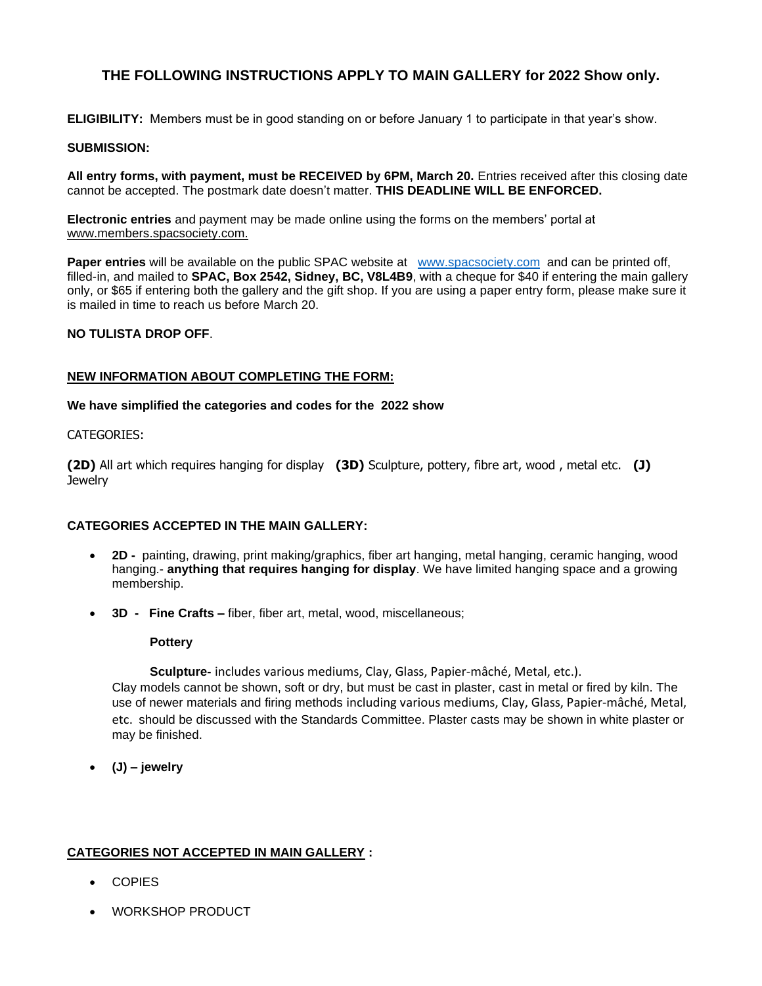# **THE FOLLOWING INSTRUCTIONS APPLY TO MAIN GALLERY for 2022 Show only.**

**ELIGIBILITY:** Members must be in good standing on or before January 1 to participate in that year's show.

## **SUBMISSION:**

All entry forms, with payment, must be RECEIVED by 6PM, March 20. Entries received after this closing date cannot be accepted. The postmark date doesn't matter. **THIS DEADLINE WILL BE ENFORCED.** 

**Electronic entries** and payment may be made online using the forms on the members' portal at www.members.spacsociety.com.

**Paper entries** will be available on the public SPAC website at [www.spacsociety.com](http://www.spacsociety.com/) and can be printed off, filled-in, and mailed to **SPAC, Box 2542, Sidney, BC, V8L4B9**, with a cheque for \$40 if entering the main gallery only, or \$65 if entering both the gallery and the gift shop. If you are using a paper entry form, please make sure it is mailed in time to reach us before March 20.

# **NO TULISTA DROP OFF**.

# **NEW INFORMATION ABOUT COMPLETING THE FORM:**

### **We have simplified the categories and codes for the 2022 show**

### CATEGORIES:

**(2D)** All art which requires hanging for display **(3D)** Sculpture, pottery, fibre art, wood , metal etc. **(J) Jewelry** 

### **CATEGORIES ACCEPTED IN THE MAIN GALLERY:**

- **2D** painting, drawing, print making/graphics, fiber art hanging, metal hanging, ceramic hanging, wood hanging.- **anything that requires hanging for display**. We have limited hanging space and a growing membership.
- **3D Fine Crafts –** fiber, fiber art, metal, wood, miscellaneous;

### **Pottery**

 **Sculpture-** includes various mediums, Clay, Glass, Papier-mâché, Metal, etc.).

Clay models cannot be shown, soft or dry, but must be cast in plaster, cast in metal or fired by kiln. The use of newer materials and firing methods including various mediums, Clay, Glass, Papier-mâché, Metal, etc. should be discussed with the Standards Committee. Plaster casts may be shown in white plaster or may be finished.

• **(J) – jewelry**

# **CATEGORIES NOT ACCEPTED IN MAIN GALLERY :**

- COPIES
- WORKSHOP PRODUCT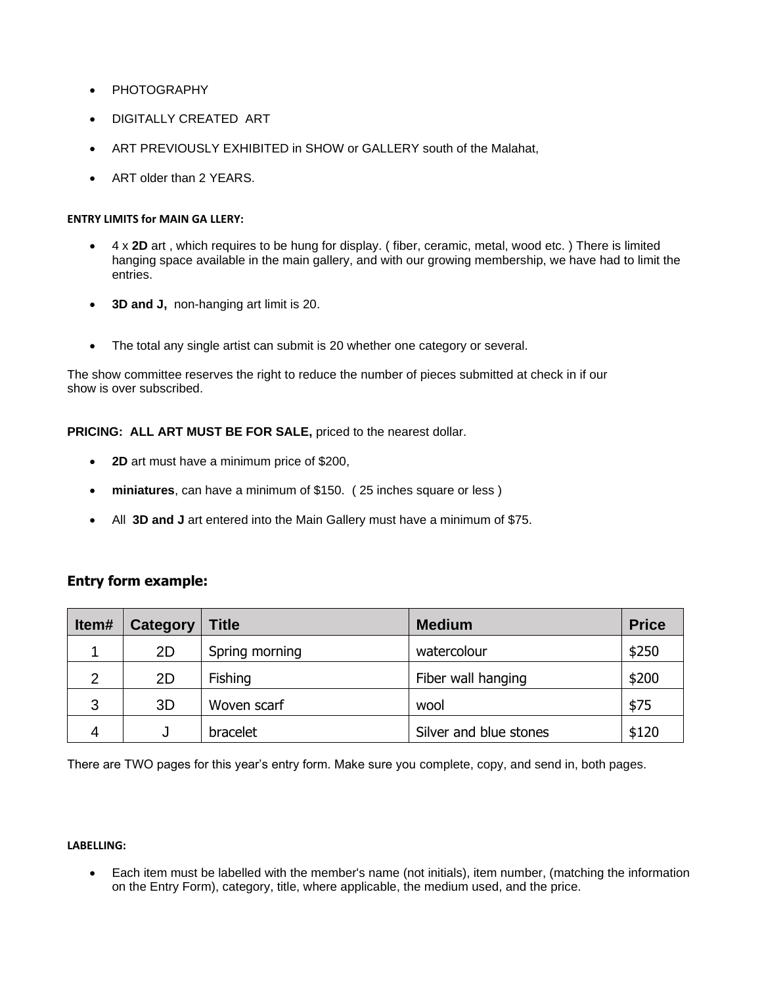- **PHOTOGRAPHY**
- DIGITALLY CREATED ART
- ART PREVIOUSLY EXHIBITED in SHOW or GALLERY south of the Malahat,
- ART older than 2 YEARS.

# **ENTRY LIMITS for MAIN GA LLERY:**

- 4 x **2D** art , which requires to be hung for display. ( fiber, ceramic, metal, wood etc. ) There is limited hanging space available in the main gallery, and with our growing membership, we have had to limit the entries.
- **3D and J,** non-hanging art limit is 20.
- The total any single artist can submit is 20 whether one category or several.

The show committee reserves the right to reduce the number of pieces submitted at check in if our show is over subscribed.

# PRICING: ALL ART MUST BE FOR SALE, priced to the nearest dollar.

- **2D** art must have a minimum price of \$200,
- **miniatures**, can have a minimum of \$150. ( 25 inches square or less )
- All **3D and J** art entered into the Main Gallery must have a minimum of \$75.

# **Entry form example:**

| Item# | Category | <b>Title</b>   | <b>Medium</b>          | <b>Price</b> |
|-------|----------|----------------|------------------------|--------------|
|       | 2D       | Spring morning | watercolour            | \$250        |
| 2     | 2D       | Fishing        | Fiber wall hanging     | \$200        |
| 3     | 3D       | Woven scarf    | wool                   | \$75         |
| 4     |          | bracelet       | Silver and blue stones | \$120        |

There are TWO pages for this year's entry form. Make sure you complete, copy, and send in, both pages.

## **LABELLING:**

• Each item must be labelled with the member's name (not initials), item number, (matching the information on the Entry Form), category, title, where applicable, the medium used, and the price.